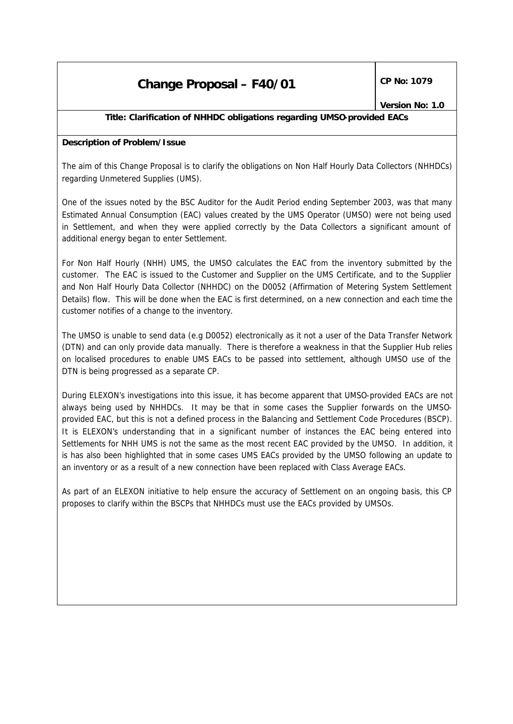# **Change Proposal – F40/01** CP No: 1079

### **Title: Clarification of NHHDC obligations regarding UMSO-provided EACs**

#### **Description of Problem/Issue**

The aim of this Change Proposal is to clarify the obligations on Non Half Hourly Data Collectors (NHHDCs) regarding Unmetered Supplies (UMS).

One of the issues noted by the BSC Auditor for the Audit Period ending September 2003, was that many Estimated Annual Consumption (EAC) values created by the UMS Operator (UMSO) were not being used in Settlement, and when they were applied correctly by the Data Collectors a significant amount of additional energy began to enter Settlement.

For Non Half Hourly (NHH) UMS, the UMSO calculates the EAC from the inventory submitted by the customer. The EAC is issued to the Customer and Supplier on the UMS Certificate, and to the Supplier and Non Half Hourly Data Collector (NHHDC) on the D0052 (Affirmation of Metering System Settlement Details) flow. This will be done when the EAC is first determined, on a new connection and each time the customer notifies of a change to the inventory.

The UMSO is unable to send data (e.g D0052) electronically as it not a user of the Data Transfer Network (DTN) and can only provide data manually. There is therefore a weakness in that the Supplier Hub relies on localised procedures to enable UMS EACs to be passed into settlement, although UMSO use of the DTN is being progressed as a separate CP.

During ELEXON's investigations into this issue, it has become apparent that UMSO-provided EACs are not always being used by NHHDCs. It may be that in some cases the Supplier forwards on the UMSOprovided EAC, but this is not a defined process in the Balancing and Settlement Code Procedures (BSCP). It is ELEXON's understanding that in a significant number of instances the EAC being entered into Settlements for NHH UMS is not the same as the most recent EAC provided by the UMSO. In addition, it is has also been highlighted that in some cases UMS EACs provided by the UMSO following an update to an inventory or as a result of a new connection have been replaced with Class Average EACs.

As part of an ELEXON initiative to help ensure the accuracy of Settlement on an ongoing basis, this CP proposes to clarify within the BSCPs that NHHDCs must use the EACs provided by UMSOs.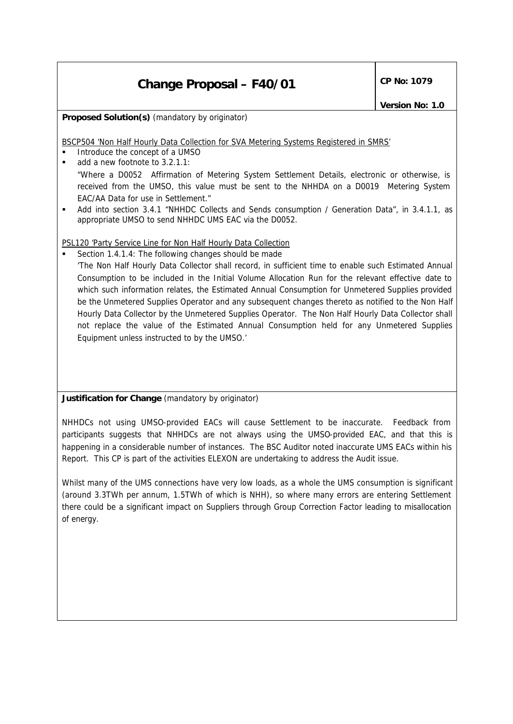## **Change Proposal – F40/01** CP No: 1079

**Proposed Solution(s)** *(mandatory by originator)*

BSCP504 'Non Half Hourly Data Collection for SVA Metering Systems Registered in SMRS'

- ß Introduce the concept of a UMSO
- add a new footnote to 3.2.1.1: *"Where a D0052 Affirmation of Metering System Settlement Details, electronic or otherwise, is received from the UMSO, this value must be sent to the NHHDA on a D0019 Metering System EAC/AA Data for use in Settlement."*
- ß Add into section 3.4.1 "NHHDC Collects and Sends consumption / Generation Data", in 3.4.1.1, as appropriate UMSO to send NHHDC UMS EAC via the D0052.

### PSL120 'Party Service Line for Non Half Hourly Data Collection

Section 1.4.1.4: The following changes should be made 'The Non Half Hourly Data Collector shall record, in sufficient time to enable such Estimated Annual Consumption to be included in the Initial Volume Allocation Run for the relevant effective date to which such information relates, the Estimated Annual Consumption for Unmetered Supplies provided be the Unmetered Supplies Operator and any subsequent changes thereto as notified to the Non Half Hourly Data Collector by the Unmetered Supplies Operator. The Non Half Hourly Data Collector shall not replace the value of the Estimated Annual Consumption held for any Unmetered Supplies Equipment unless instructed to by the UMSO.'

### **Justification for Change** *(mandatory by originator)*

NHHDCs not using UMSO-provided EACs will cause Settlement to be inaccurate. Feedback from participants suggests that NHHDCs are not always using the UMSO-provided EAC, and that this is happening in a considerable number of instances. The BSC Auditor noted inaccurate UMS EACs within his Report. This CP is part of the activities ELEXON are undertaking to address the Audit issue.

Whilst many of the UMS connections have very low loads, as a whole the UMS consumption is significant (around 3.3TWh per annum, 1.5TWh of which is NHH), so where many errors are entering Settlement there could be a significant impact on Suppliers through Group Correction Factor leading to misallocation of energy.